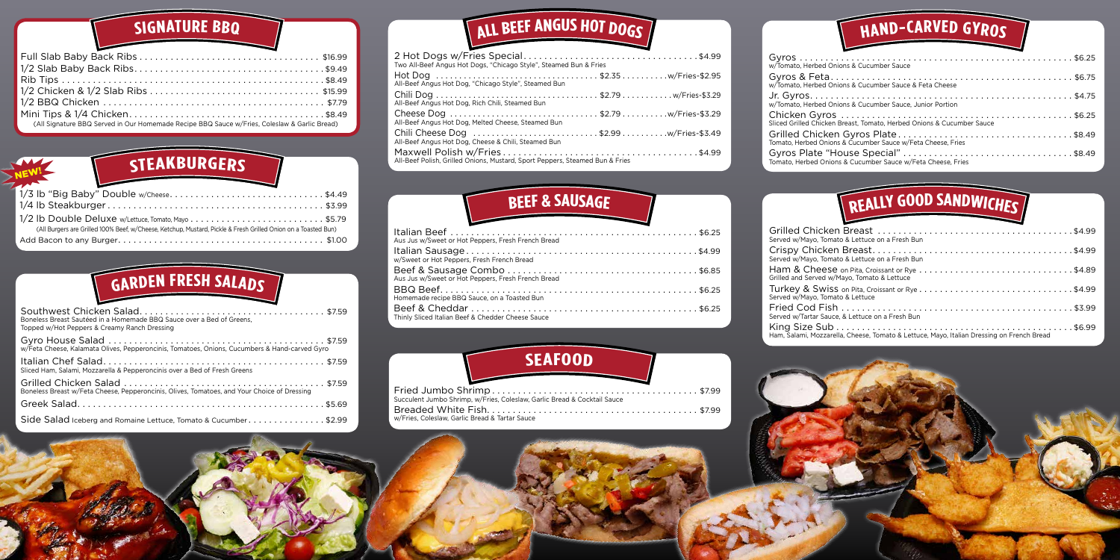| (All Signature BBQ Served in Our Homemade Recipe BBQ Sauce w/Fries, Coleslaw & Garlic Bread) |
|----------------------------------------------------------------------------------------------|

#### **SIGNATURE BBQ**



#### **HAND-CARVE<sup>D</sup> <sup>G</sup>YROS**

#### **STEAKBURGERS**



| Boneless Breast Sautéed in a Homemade BBQ Sauce over a Bed of Greens,<br>Topped w/Hot Peppers & Creamy Ranch Dressing |
|-----------------------------------------------------------------------------------------------------------------------|
| w/Feta Cheese, Kalamata Olives, Pepperoncinis, Tomatoes, Onions, Cucumbers & Hand-carved Gyro                         |
| Sliced Ham, Salami, Mozzarella & Pepperoncinis over a Bed of Fresh Greens                                             |
| Boneless Breast w/Feta Cheese, Pepperoncinis, Olives, Tomatoes, and Your Choice of Dressing                           |
|                                                                                                                       |
| Side Salad Iceberg and Romaine Lettuce, Tomato & Cucumber\$2.99                                                       |

# $\sqrt{\text{ALL}$ **BEEF** ANGUS HOT DOGS

| <u>in the contract of the contract of the contract of the contract of the contract of the contract of the contract of the contract of the contract of the contract of the contract of the contract of the contract of the contra</u> |  |
|--------------------------------------------------------------------------------------------------------------------------------------------------------------------------------------------------------------------------------------|--|
|                                                                                                                                                                                                                                      |  |
|                                                                                                                                                                                                                                      |  |
|                                                                                                                                                                                                                                      |  |
| (All Burgers are Grilled 100% Beef, w/Cheese, Ketchup, Mustard, Pickle & Fresh Grilled Onion on a Toasted Bun)                                                                                                                       |  |
|                                                                                                                                                                                                                                      |  |

# $F$  **GARDEN FRESH SALADS**

| Two All-Beef Angus Hot Dogs, "Chicago Style", Steamed Bun & Fries            |  |
|------------------------------------------------------------------------------|--|
| All-Beef Angus Hot Dog, "Chicago Style", Steamed Bun                         |  |
| All-Beef Angus Hot Dog, Rich Chili, Steamed Bun                              |  |
| All-Beef Angus Hot Dog, Melted Cheese, Steamed Bun                           |  |
| All-Beef Angus Hot Dog, Cheese & Chili, Steamed Bun                          |  |
| All-Beef Polish, Grilled Onions, Mustard, Sport Peppers, Steamed Bun & Fries |  |

| <b>BEEF &amp; SAUSAGE</b>                          |
|----------------------------------------------------|
| Aus Jus w/Sweet or Hot Peppers, Fresh French Bread |
| w/Sweet or Hot Peppers, Fresh French Bread         |
| Aus Jus w/Sweet or Hot Peppers, Fresh French Bread |
| Homemade recipe BBQ Sauce, on a Toasted Bun        |
| Thinly Sliced Italian Beef & Chedder Cheese Sauce  |

| w/Tomato, Herbed Onions & Cucumber Sauce                              |  |
|-----------------------------------------------------------------------|--|
| w/Tomato, Herbed Onions & Cucumber Sauce & Feta Cheese                |  |
| w/Tomato, Herbed Onions & Cucumber Sauce, Junior Portion              |  |
| Sliced Grilled Chicken Breast, Tomato, Herbed Onions & Cucumber Sauce |  |
| Tomato, Herbed Onions & Cucumber Sauce w/Feta Cheese, Fries           |  |
| Tomato, Herbed Onions & Cucumber Sauce w/Feta Cheese, Fries           |  |
|                                                                       |  |

| Served w/Mayo, Tomato & Lettuce on a Fresh Bun                                                                                                                             |  |
|----------------------------------------------------------------------------------------------------------------------------------------------------------------------------|--|
| Served w/Mayo, Tomato & Lettuce on a Fresh Bun                                                                                                                             |  |
| $\,$ Ham & Cheese on Pita, Croissant or Rye $\,\ldots\ldots\ldots\ldots\ldots\ldots\ldots\ldots\ldots\ldots\ldots\,$ \$4.89<br>Grilled and Served w/Mayo, Tomato & Lettuce |  |
| Turkey & Swiss on Pita, Croissant or Rye $\dots\dots\dots\dots\dots\dots\dots\dots\dots\dots\dots$<br>Served w/Mayo, Tomato & Lettuce                                      |  |
| Served w/Tartar Sauce, & Lettuce on a Fresh Bun                                                                                                                            |  |
| Ham, Salami, Mozzarella, Cheese, Tomato & Lettuce, Mayo, Italian Dressing on French Bread                                                                                  |  |
|                                                                                                                                                                            |  |

| Succulent Jumbo Shrimp, w/Fries, Coleslaw, Garlic Bread & Cocktail Sauce |  |
|--------------------------------------------------------------------------|--|
|                                                                          |  |
| w/Fries, Coleslaw, Garlic Bread & Tartar Sauce                           |  |